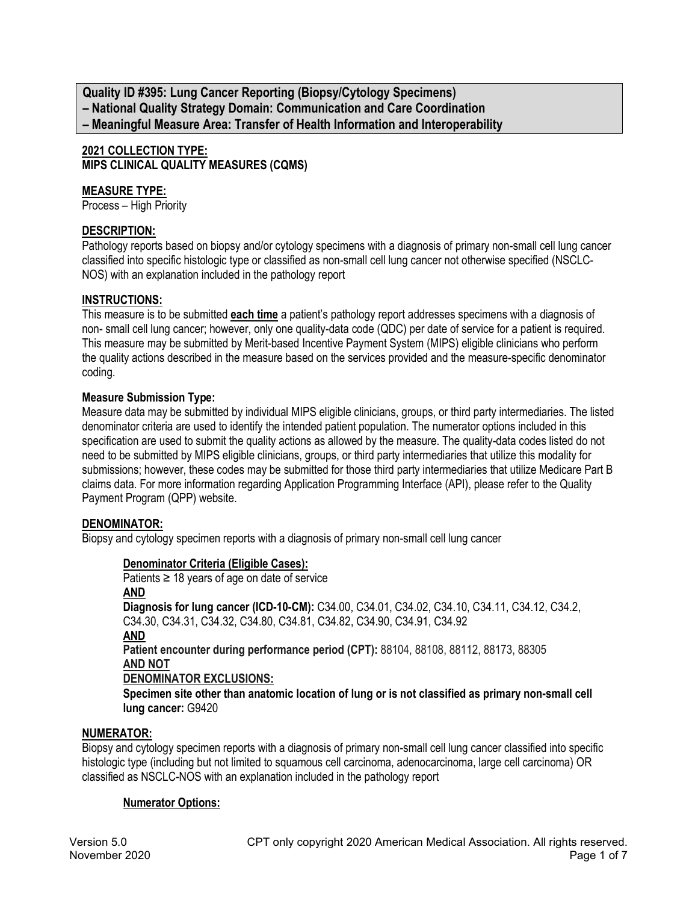**Quality ID #395: Lung Cancer Reporting (Biopsy/Cytology Specimens) – National Quality Strategy Domain: Communication and Care Coordination – Meaningful Measure Area: Transfer of Health Information and Interoperability**

# **2021 COLLECTION TYPE: MIPS CLINICAL QUALITY MEASURES (CQMS)**

## **MEASURE TYPE:**

Process – High Priority

## **DESCRIPTION:**

Pathology reports based on biopsy and/or cytology specimens with a diagnosis of primary non-small cell lung cancer classified into specific histologic type or classified as non-small cell lung cancer not otherwise specified (NSCLC-NOS) with an explanation included in the pathology report

### **INSTRUCTIONS:**

This measure is to be submitted **each time** a patient's pathology report addresses specimens with a diagnosis of non- small cell lung cancer; however, only one quality-data code (QDC) per date of service for a patient is required. This measure may be submitted by Merit-based Incentive Payment System (MIPS) eligible clinicians who perform the quality actions described in the measure based on the services provided and the measure-specific denominator coding.

### **Measure Submission Type:**

Measure data may be submitted by individual MIPS eligible clinicians, groups, or third party intermediaries. The listed denominator criteria are used to identify the intended patient population. The numerator options included in this specification are used to submit the quality actions as allowed by the measure. The quality-data codes listed do not need to be submitted by MIPS eligible clinicians, groups, or third party intermediaries that utilize this modality for submissions; however, these codes may be submitted for those third party intermediaries that utilize Medicare Part B claims data. For more information regarding Application Programming Interface (API), please refer to the Quality Payment Program (QPP) website.

#### **DENOMINATOR:**

Biopsy and cytology specimen reports with a diagnosis of primary non-small cell lung cancer

#### **Denominator Criteria (Eligible Cases):**

Patients  $\geq$  18 years of age on date of service **AND Diagnosis for lung cancer (ICD-10-CM):** C34.00, C34.01, C34.02, C34.10, C34.11, C34.12, C34.2, C34.30, C34.31, C34.32, C34.80, C34.81, C34.82, C34.90, C34.91, C34.92 **AND Patient encounter during performance period (CPT):** 88104, 88108, 88112, 88173, 88305 **AND NOT DENOMINATOR EXCLUSIONS: Specimen site other than anatomic location of lung or is not classified as primary non-small cell lung cancer:** G9420

#### **NUMERATOR:**

Biopsy and cytology specimen reports with a diagnosis of primary non-small cell lung cancer classified into specific histologic type (including but not limited to squamous cell carcinoma, adenocarcinoma, large cell carcinoma) OR classified as NSCLC-NOS with an explanation included in the pathology report

#### **Numerator Options:**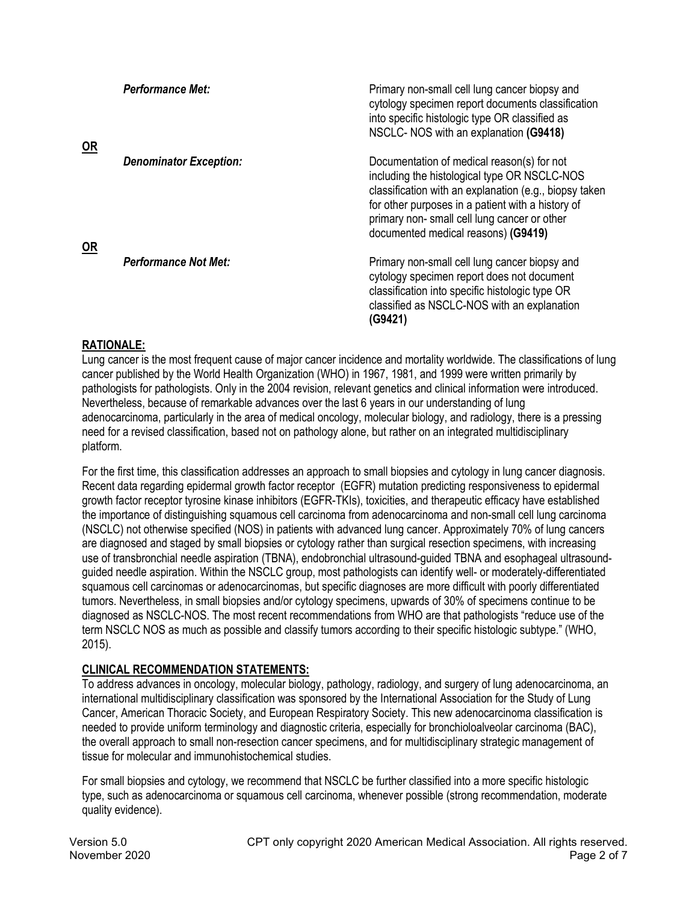| <b>OR</b> | <b>Performance Met:</b>       | Primary non-small cell lung cancer biopsy and<br>cytology specimen report documents classification<br>into specific histologic type OR classified as<br>NSCLC- NOS with an explanation (G9418)                                                                                                  |
|-----------|-------------------------------|-------------------------------------------------------------------------------------------------------------------------------------------------------------------------------------------------------------------------------------------------------------------------------------------------|
| OR        | <b>Denominator Exception:</b> | Documentation of medical reason(s) for not<br>including the histological type OR NSCLC-NOS<br>classification with an explanation (e.g., biopsy taken<br>for other purposes in a patient with a history of<br>primary non-small cell lung cancer or other<br>documented medical reasons) (G9419) |
|           | <b>Performance Not Met:</b>   | Primary non-small cell lung cancer biopsy and<br>cytology specimen report does not document<br>classification into specific histologic type OR<br>classified as NSCLC-NOS with an explanation<br>(G9421)                                                                                        |

# **RATIONALE:**

Lung cancer is the most frequent cause of major cancer incidence and mortality worldwide. The classifications of lung cancer published by the World Health Organization (WHO) in 1967, 1981, and 1999 were written primarily by pathologists for pathologists. Only in the 2004 revision, relevant genetics and clinical information were introduced. Nevertheless, because of remarkable advances over the last 6 years in our understanding of lung adenocarcinoma, particularly in the area of medical oncology, molecular biology, and radiology, there is a pressing need for a revised classification, based not on pathology alone, but rather on an integrated multidisciplinary platform.

For the first time, this classification addresses an approach to small biopsies and cytology in lung cancer diagnosis. Recent data regarding epidermal growth factor receptor (EGFR) mutation predicting responsiveness to epidermal growth factor receptor tyrosine kinase inhibitors (EGFR-TKIs), toxicities, and therapeutic efficacy have established the importance of distinguishing squamous cell carcinoma from adenocarcinoma and non-small cell lung carcinoma (NSCLC) not otherwise specified (NOS) in patients with advanced lung cancer. Approximately 70% of lung cancers are diagnosed and staged by small biopsies or cytology rather than surgical resection specimens, with increasing use of transbronchial needle aspiration (TBNA), endobronchial ultrasound-guided TBNA and esophageal ultrasoundguided needle aspiration. Within the NSCLC group, most pathologists can identify well- or moderately-differentiated squamous cell carcinomas or adenocarcinomas, but specific diagnoses are more difficult with poorly differentiated tumors. Nevertheless, in small biopsies and/or cytology specimens, upwards of 30% of specimens continue to be diagnosed as NSCLC-NOS. The most recent recommendations from WHO are that pathologists "reduce use of the term NSCLC NOS as much as possible and classify tumors according to their specific histologic subtype." (WHO, 2015).

# **CLINICAL RECOMMENDATION STATEMENTS:**

To address advances in oncology, molecular biology, pathology, radiology, and surgery of lung adenocarcinoma, an international multidisciplinary classification was sponsored by the International Association for the Study of Lung Cancer, American Thoracic Society, and European Respiratory Society. This new adenocarcinoma classification is needed to provide uniform terminology and diagnostic criteria, especially for bronchioloalveolar carcinoma (BAC), the overall approach to small non-resection cancer specimens, and for multidisciplinary strategic management of tissue for molecular and immunohistochemical studies.

For small biopsies and cytology, we recommend that NSCLC be further classified into a more specific histologic type, such as adenocarcinoma or squamous cell carcinoma, whenever possible (strong recommendation, moderate quality evidence).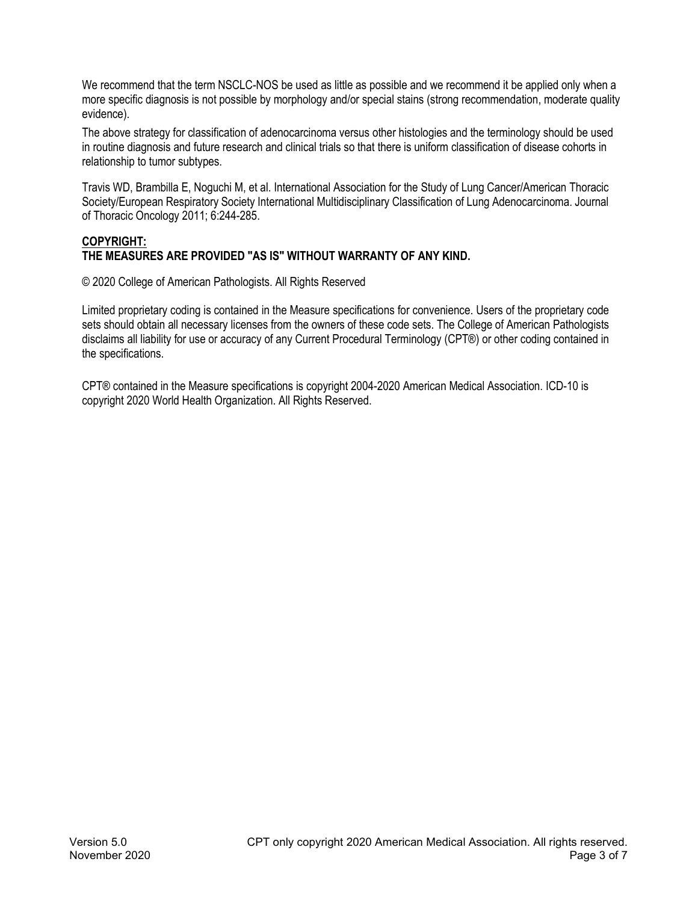We recommend that the term NSCLC-NOS be used as little as possible and we recommend it be applied only when a more specific diagnosis is not possible by morphology and/or special stains (strong recommendation, moderate quality evidence).

The above strategy for classification of adenocarcinoma versus other histologies and the terminology should be used in routine diagnosis and future research and clinical trials so that there is uniform classification of disease cohorts in relationship to tumor subtypes.

Travis WD, Brambilla E, Noguchi M, et al. International Association for the Study of Lung Cancer/American Thoracic Society/European Respiratory Society International Multidisciplinary Classification of Lung Adenocarcinoma. Journal of Thoracic Oncology 2011; 6:244-285.

## **COPYRIGHT: THE MEASURES ARE PROVIDED "AS IS" WITHOUT WARRANTY OF ANY KIND.**

© 2020 College of American Pathologists. All Rights Reserved

Limited proprietary coding is contained in the Measure specifications for convenience. Users of the proprietary code sets should obtain all necessary licenses from the owners of these code sets. The College of American Pathologists disclaims all liability for use or accuracy of any Current Procedural Terminology (CPT®) or other coding contained in the specifications.

CPT® contained in the Measure specifications is copyright 2004-2020 American Medical Association. ICD-10 is copyright 2020 World Health Organization. All Rights Reserved.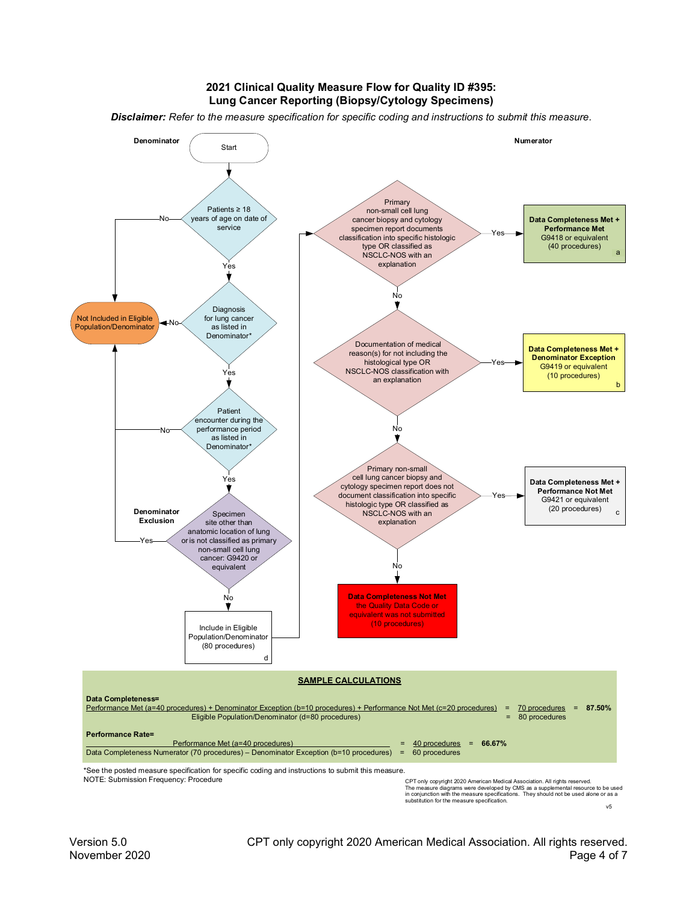#### **2021 Clinical Quality Measure Flow for Quality ID #395: Lung Cancer Reporting (Biopsy/Cytology Specimens)**

*Disclaimer: Refer to the measure specification for specific coding and instructions to submit this measure.*



The measure diagrams were developed by CMS as a supplemental resource to be used<br>in conjunction with the measure specifications. They should not be used alone or as a<br>substitution for the measure specification. v5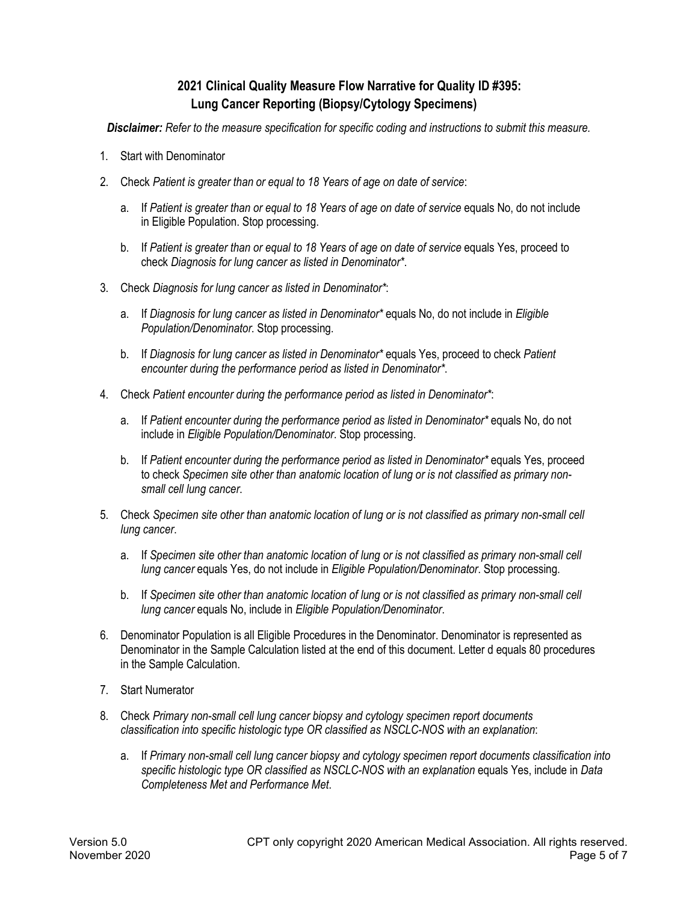# **2021 Clinical Quality Measure Flow Narrative for Quality ID #395: Lung Cancer Reporting (Biopsy/Cytology Specimens)**

*Disclaimer: Refer to the measure specification for specific coding and instructions to submit this measure.*

- 1. Start with Denominator
- 2. Check *Patient is greater than or equal to 18 Years of age on date of service*:
	- a. If *Patient is greater than or equal to 18 Years of age on date of service* equals No, do not include in Eligible Population. Stop processing.
	- b. If *Patient is greater than or equal to 18 Years of age on date of service* equals Yes, proceed to check *Diagnosis for lung cancer as listed in Denominator\**.
- 3. Check *Diagnosis for lung cancer as listed in Denominator\**:
	- a. If *Diagnosis for lung cancer as listed in Denominator\** equals No, do not include in *Eligible Population/Denominator*. Stop processing.
	- b. If *Diagnosis for lung cancer as listed in Denominator\** equals Yes, proceed to check *Patient encounter during the performance period as listed in Denominator\**.
- 4. Check *Patient encounter during the performance period as listed in Denominator\**:
	- a. If Patient encounter during the performance period as listed in Denominator\* equals No, do not include in *Eligible Population/Denominator*. Stop processing.
	- b. If *Patient encounter during the performance period as listed in Denominator\** equals Yes, proceed to check *Specimen site other than anatomic location of lung or is not classified as primary nonsmall cell lung cancer*.
- 5. Check *Specimen site other than anatomic location of lung or is not classified as primary non-small cell lung cancer*.
	- a. If *Specimen site other than anatomic location of lung or is not classified as primary non-small cell lung cancer* equals Yes, do not include in *Eligible Population/Denominator*. Stop processing.
	- b. If *Specimen site other than anatomic location of lung or is not classified as primary non-small cell lung cancer* equals No, include in *Eligible Population/Denominator*.
- 6. Denominator Population is all Eligible Procedures in the Denominator. Denominator is represented as Denominator in the Sample Calculation listed at the end of this document. Letter d equals 80 procedures in the Sample Calculation.
- 7. Start Numerator
- 8. Check *Primary non-small cell lung cancer biopsy and cytology specimen report documents classification into specific histologic type OR classified as NSCLC-NOS with an explanation*:
	- a. If *Primary non-small cell lung cancer biopsy and cytology specimen report documents classification into specific histologic type OR classified as NSCLC-NOS with an explanation* equals Yes, include in *Data Completeness Met and Performance Met*.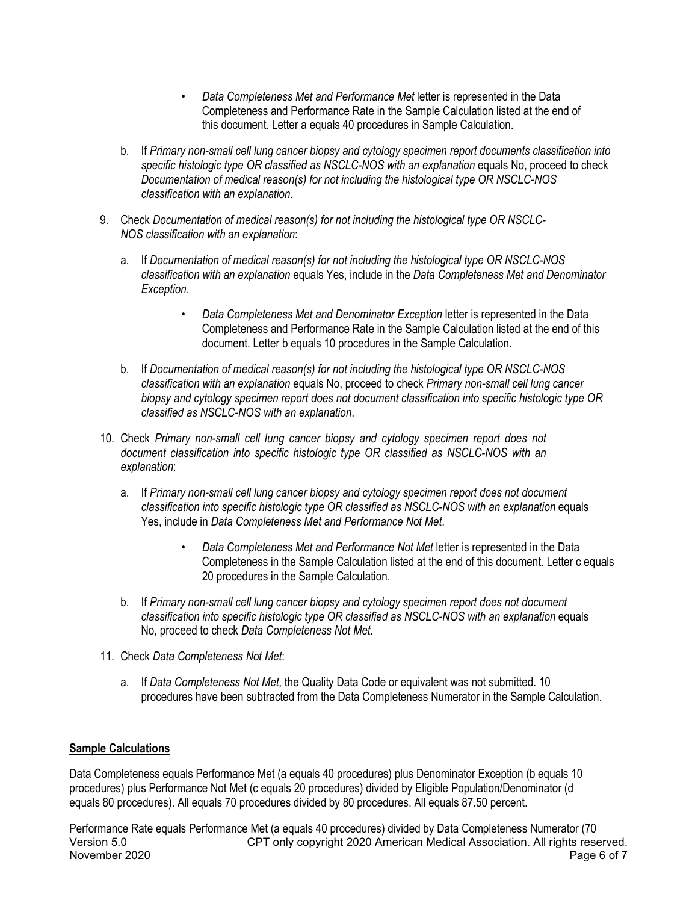- *Data Completeness Met and Performance Met* letter is represented in the Data Completeness and Performance Rate in the Sample Calculation listed at the end of this document. Letter a equals 40 procedures in Sample Calculation.
- b. If *Primary non-small cell lung cancer biopsy and cytology specimen report documents classification into specific histologic type OR classified as NSCLC-NOS with an explanation* equals No, proceed to check *Documentation of medical reason(s) for not including the histological type OR NSCLC-NOS classification with an explanation*.
- 9. Check *Documentation of medical reason(s) for not including the histological type OR NSCLC-NOS classification with an explanation*:
	- a. If *Documentation of medical reason(s) for not including the histological type OR NSCLC-NOS classification with an explanation* equals Yes, include in the *Data Completeness Met and Denominator Exception*.
		- *Data Completeness Met and Denominator Exception* letter is represented in the Data Completeness and Performance Rate in the Sample Calculation listed at the end of this document. Letter b equals 10 procedures in the Sample Calculation.
	- b. If *Documentation of medical reason(s) for not including the histological type OR NSCLC-NOS classification with an explanation* equals No, proceed to check *Primary non-small cell lung cancer biopsy and cytology specimen report does not document classification into specific histologic type OR classified as NSCLC-NOS with an explanation*.
- 10. Check *Primary non-small cell lung cancer biopsy and cytology specimen report does not document classification into specific histologic type OR classified as NSCLC-NOS with an explanation*:
	- a. If *Primary non-small cell lung cancer biopsy and cytology specimen report does not document classification into specific histologic type OR classified as NSCLC-NOS with an explanation* equals Yes, include in *Data Completeness Met and Performance Not Met*.
		- *Data Completeness Met and Performance Not Met* letter is represented in the Data Completeness in the Sample Calculation listed at the end of this document. Letter c equals 20 procedures in the Sample Calculation.
	- b. If *Primary non-small cell lung cancer biopsy and cytology specimen report does not document classification into specific histologic type OR classified as NSCLC-NOS with an explanation* equals No, proceed to check *Data Completeness Not Met*.
- 11. Check *Data Completeness Not Met*:
	- a. If *Data Completeness Not Met*, the Quality Data Code or equivalent was not submitted. 10 procedures have been subtracted from the Data Completeness Numerator in the Sample Calculation.

## **Sample Calculations**

Data Completeness equals Performance Met (a equals 40 procedures) plus Denominator Exception (b equals 10 procedures) plus Performance Not Met (c equals 20 procedures) divided by Eligible Population/Denominator (d equals 80 procedures). All equals 70 procedures divided by 80 procedures. All equals 87.50 percent.

Version 5.0 CPT only copyright 2020 American Medical Association. All rights reserved. November 2020 **Page 6 of 7** Page 6 of 7 Performance Rate equals Performance Met (a equals 40 procedures) divided by Data Completeness Numerator (70